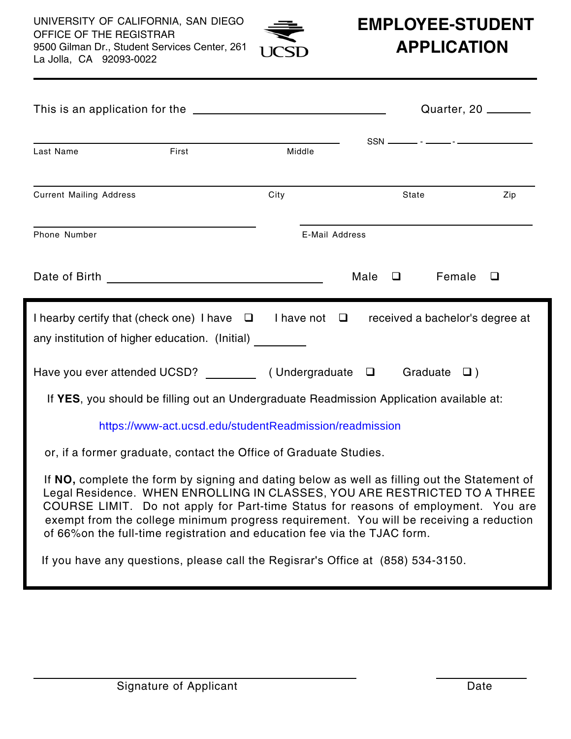

## **EMPLOYEE-STUDENT** *APPLICATION*

|                                |       |                                                                   |                                                                                                                                                                                                                                                                 | Quarter, 20 _______ |  |
|--------------------------------|-------|-------------------------------------------------------------------|-----------------------------------------------------------------------------------------------------------------------------------------------------------------------------------------------------------------------------------------------------------------|---------------------|--|
| Last Name                      | First | Middle                                                            | $SSN \xrightarrow{ \hspace*{1.5cm} \dots \hspace*{1.5cm} } \hspace*{1.5cm} \dots \hspace*{1.5cm} \dots \hspace*{1.5cm} }$                                                                                                                                       |                     |  |
| <b>Current Mailing Address</b> |       | City                                                              | State                                                                                                                                                                                                                                                           | Zip                 |  |
| Phone Number                   |       | E-Mail Address                                                    |                                                                                                                                                                                                                                                                 |                     |  |
|                                |       |                                                                   | Male $\square$                                                                                                                                                                                                                                                  | Female $\Box$       |  |
|                                |       |                                                                   | Have you ever attended UCSD? (Undergraduate $\Box$ Graduate $\Box$ )<br>If YES, you should be filling out an Undergraduate Readmission Application available at:                                                                                                |                     |  |
|                                |       |                                                                   |                                                                                                                                                                                                                                                                 |                     |  |
|                                |       |                                                                   |                                                                                                                                                                                                                                                                 |                     |  |
|                                |       | https://www-act.ucsd.edu/studentReadmission/readmission           |                                                                                                                                                                                                                                                                 |                     |  |
|                                |       | or, if a former graduate, contact the Office of Graduate Studies. |                                                                                                                                                                                                                                                                 |                     |  |
|                                |       |                                                                   | If NO, complete the form by signing and dating below as well as filling out the Statement of<br>Legal Residence. WHEN ENROLLING IN CLASSES, YOU ARE RESTRICTED TO A THREE<br>COURSE LIMIT. Do not apply for Part-time Status for reasons of employment. You are |                     |  |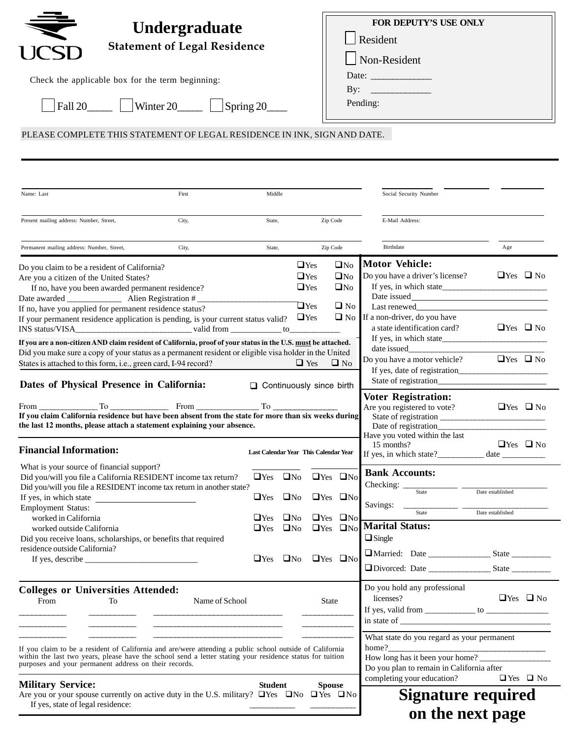| Undergraduate                                                                                                                                                                                                                                                                  | <b>Statement of Legal Residence</b>                        |                                                                                      |                                                           |                                                                                                                                                                                                                                                                                                                                                               | FOR DEPUTY'S USE ONLY<br>$\Box$ Resident<br>Non-Resident |                      |  |  |
|--------------------------------------------------------------------------------------------------------------------------------------------------------------------------------------------------------------------------------------------------------------------------------|------------------------------------------------------------|--------------------------------------------------------------------------------------|-----------------------------------------------------------|---------------------------------------------------------------------------------------------------------------------------------------------------------------------------------------------------------------------------------------------------------------------------------------------------------------------------------------------------------------|----------------------------------------------------------|----------------------|--|--|
| Check the applicable box for the term beginning:<br>Fall 20 Winter 20 Spring 20                                                                                                                                                                                                |                                                            |                                                                                      |                                                           | Date:<br>By: $\qquad \qquad$<br>Pending:                                                                                                                                                                                                                                                                                                                      |                                                          |                      |  |  |
| PLEASE COMPLETE THIS STATEMENT OF LEGAL RESIDENCE IN INK, SIGN AND DATE.                                                                                                                                                                                                       |                                                            |                                                                                      |                                                           |                                                                                                                                                                                                                                                                                                                                                               |                                                          |                      |  |  |
| Name: Last<br>First                                                                                                                                                                                                                                                            | Middle                                                     |                                                                                      |                                                           | Social Security Number                                                                                                                                                                                                                                                                                                                                        |                                                          |                      |  |  |
| City,<br>Present mailing address: Number, Street,                                                                                                                                                                                                                              | State,                                                     | Zip Code                                                                             |                                                           | E-Mail Address:                                                                                                                                                                                                                                                                                                                                               |                                                          |                      |  |  |
| City,<br>Permanent mailing address: Number, Street,                                                                                                                                                                                                                            | State,                                                     | Zip Code                                                                             |                                                           | Birthdate                                                                                                                                                                                                                                                                                                                                                     | Age                                                      |                      |  |  |
| Do you claim to be a resident of California?<br>Are you a citizen of the United States?<br>If no, have you been awarded permanent residence?<br>If no, have you applied for permanent residence status?                                                                        |                                                            | $\Box$ Yes<br>$\Box$ Yes<br>$\Box$ Yes<br>$\Box$ Yes                                 | $\square$ No<br>$\square$ No<br>$\square$ No<br>$\Box$ No | <b>Motor Vehicle:</b><br>Do you have a driver's license?<br>Last renewed                                                                                                                                                                                                                                                                                      | $\Box$ Yes $\Box$ No                                     |                      |  |  |
| If your permanent residence application is pending, is your current status valid?<br>If you are a non-citizen AND claim resident of California, proof of your status in the U.S. must be attached.                                                                             |                                                            | $\Box$ Yes                                                                           | $\Box$ No                                                 | If a non-driver, do you have<br>a state identification card?                                                                                                                                                                                                                                                                                                  | $\Box$ Yes $\Box$ No                                     |                      |  |  |
| Did you make sure a copy of your status as a permanent resident or eligible visa holder in the United<br>States is attached to this form, i.e., green card, I-94 record?                                                                                                       |                                                            | $\Box$ Yes                                                                           | $\Box$ No                                                 | date issued<br>Do you have a motor vehicle? $\Box$ Yes $\Box$ No                                                                                                                                                                                                                                                                                              |                                                          |                      |  |  |
| Dates of Physical Presence in California:<br>If you claim California residence but have been absent from the state for more than six weeks during<br>the last 12 months, please attach a statement explaining your absence.<br><b>Financial Information:</b>                   | To                                                         | Continuously since birth<br>Last Calendar Year This Calendar Year                    |                                                           | <b>Voter Registration:</b><br>Are you registered to vote?<br>State of registration<br>Date of registration_<br>Have you voted within the last<br>15 months?                                                                                                                                                                                                   | $\Box$ Yes $\Box$ No<br>$\Box$ Yes $\Box$ No<br>date     |                      |  |  |
| What is your source of financial support?<br>Did you/will you file a California RESIDENT income tax return?<br>Did you/will you file a RESIDENT income tax return in another state?<br>If yes, in which state<br>Employment Status:<br>worked in California                    | $\Box$ Yes $\Box$ No<br>$\Box$ Yes $\Box$ No<br>$\Box$ Yes | $\Box$ Yes $\Box$ No<br>$\Box$ Yes $\Box$ No<br>$\square$ No<br>$\Box$ Yes $\Box$ No |                                                           | <b>Bank Accounts:</b><br>$\frac{3}{2}$ Checking: $\frac{3}{2}$ $\frac{3}{2}$ $\frac{3}{2}$ $\frac{3}{2}$ $\frac{3}{2}$ $\frac{3}{2}$ $\frac{3}{2}$ $\frac{3}{2}$ $\frac{3}{2}$ $\frac{3}{2}$ $\frac{3}{2}$ $\frac{3}{2}$ $\frac{3}{2}$ $\frac{3}{2}$ $\frac{3}{2}$ $\frac{3}{2}$ $\frac{3}{2}$ $\frac{3}{2}$ $\frac{3}{2}$ $\frac{3}{2}$<br>Savings:<br>State | Date established<br>Date established                     |                      |  |  |
| worked outside California<br>Did you receive loans, scholarships, or benefits that required<br>residence outside California?<br>If yes, describe $\_\_$                                                                                                                        | $\Box$ Yes                                                 | $\square$ No<br>$\Box$ Yes $\Box$ No<br>$\Box$ Yes $\Box$ No $\Box$ Yes $\Box$ No    |                                                           | <b>Marital Status:</b><br>$\Box$ Single                                                                                                                                                                                                                                                                                                                       |                                                          |                      |  |  |
| <b>Colleges or Universities Attended:</b><br>From<br>Name of School<br>To                                                                                                                                                                                                      |                                                            | <b>State</b>                                                                         |                                                           | Do you hold any professional<br>licenses?<br>If yes, valid from $\_\_\_\_\_$ to $\_\_\_\_\_\_\_\_$                                                                                                                                                                                                                                                            |                                                          | $\Box$ Yes $\Box$ No |  |  |
| If you claim to be a resident of California and are/were attending a public school outside of California<br>within the last two years, please have the school send a letter stating your residence status for tuition<br>purposes and your permanent address on their records. |                                                            |                                                                                      |                                                           | What state do you regard as your permanent<br>home?<br>How long has it been your home?<br>Do you plan to remain in California after<br>completing your education?                                                                                                                                                                                             |                                                          | $\Box$ Yes $\Box$ No |  |  |
| <b>Military Service:</b><br>Are you or your spouse currently on active duty in the U.S. military? $\Box$ Yes $\Box$ No $\Box$ Yes $\Box$ No<br>If yes, state of legal residence:                                                                                               | <b>Student</b>                                             | <b>Spouse</b>                                                                        |                                                           | Signature required<br>on the next page                                                                                                                                                                                                                                                                                                                        |                                                          |                      |  |  |